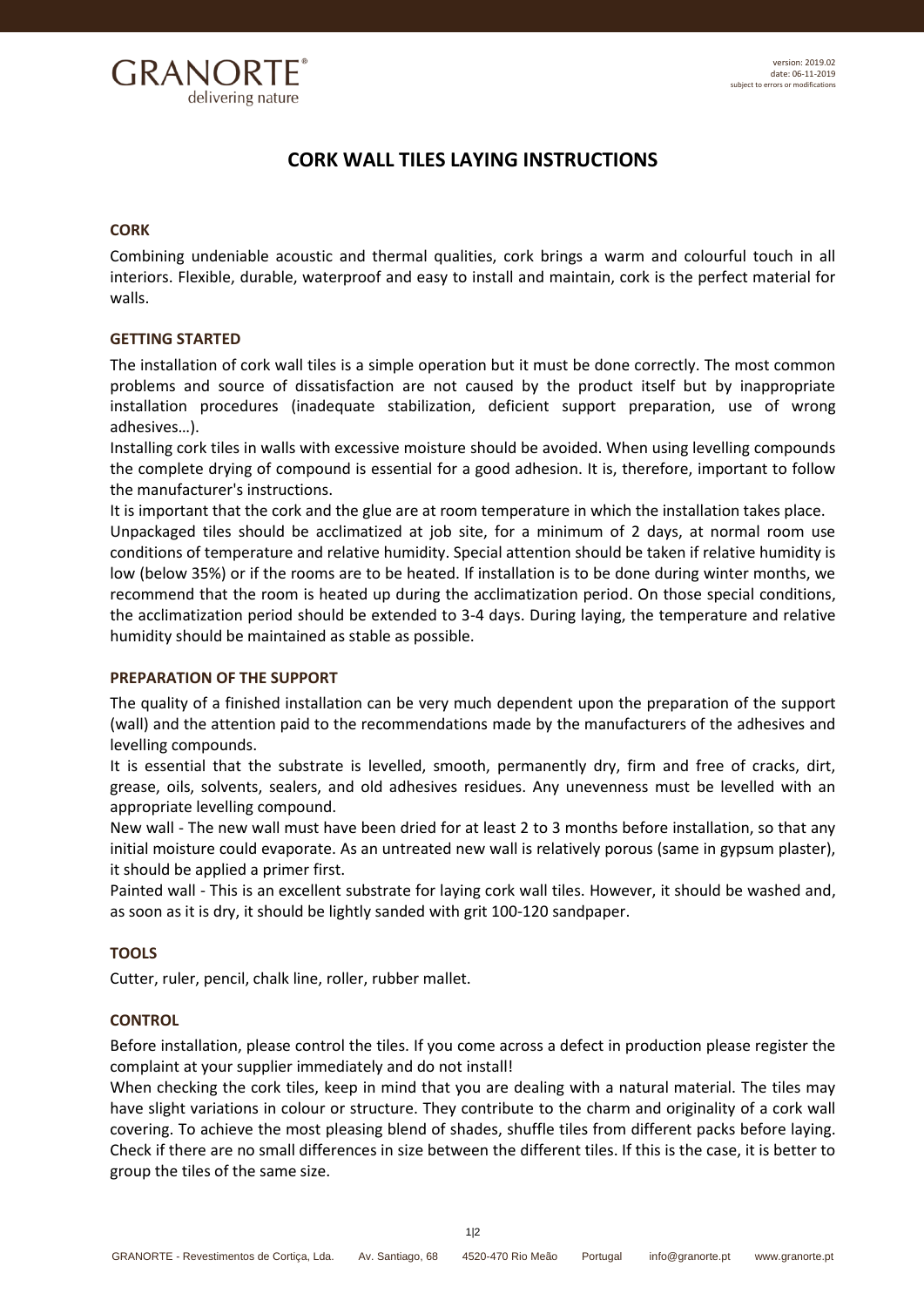

# **CORK WALL TILES LAYING INSTRUCTIONS**

## **CORK**

Combining undeniable acoustic and thermal qualities, cork brings a warm and colourful touch in all interiors. Flexible, durable, waterproof and easy to install and maintain, cork is the perfect material for walls.

## **GETTING STARTED**

The installation of cork wall tiles is a simple operation but it must be done correctly. The most common problems and source of dissatisfaction are not caused by the product itself but by inappropriate installation procedures (inadequate stabilization, deficient support preparation, use of wrong adhesives…).

Installing cork tiles in walls with excessive moisture should be avoided. When using levelling compounds the complete drying of compound is essential for a good adhesion. It is, therefore, important to follow the manufacturer's instructions.

It is important that the cork and the glue are at room temperature in which the installation takes place. Unpackaged tiles should be acclimatized at job site, for a minimum of 2 days, at normal room use conditions of temperature and relative humidity. Special attention should be taken if relative humidity is low (below 35%) or if the rooms are to be heated. If installation is to be done during winter months, we recommend that the room is heated up during the acclimatization period. On those special conditions, the acclimatization period should be extended to 3-4 days. During laying, the temperature and relative humidity should be maintained as stable as possible.

## **PREPARATION OF THE SUPPORT**

The quality of a finished installation can be very much dependent upon the preparation of the support (wall) and the attention paid to the recommendations made by the manufacturers of the adhesives and levelling compounds.

It is essential that the substrate is levelled, smooth, permanently dry, firm and free of cracks, dirt, grease, oils, solvents, sealers, and old adhesives residues. Any unevenness must be levelled with an appropriate levelling compound.

New wall - The new wall must have been dried for at least 2 to 3 months before installation, so that any initial moisture could evaporate. As an untreated new wall is relatively porous (same in gypsum plaster), it should be applied a primer first.

Painted wall - This is an excellent substrate for laying cork wall tiles. However, it should be washed and, as soon as it is dry, it should be lightly sanded with grit 100-120 sandpaper.

# **TOOLS**

Cutter, ruler, pencil, chalk line, roller, rubber mallet.

## **CONTROL**

Before installation, please control the tiles. If you come across a defect in production please register the complaint at your supplier immediately and do not install!

When checking the cork tiles, keep in mind that you are dealing with a natural material. The tiles may have slight variations in colour or structure. They contribute to the charm and originality of a cork wall covering. To achieve the most pleasing blend of shades, shuffle tiles from different packs before laying. Check if there are no small differences in size between the different tiles. If this is the case, it is better to group the tiles of the same size.